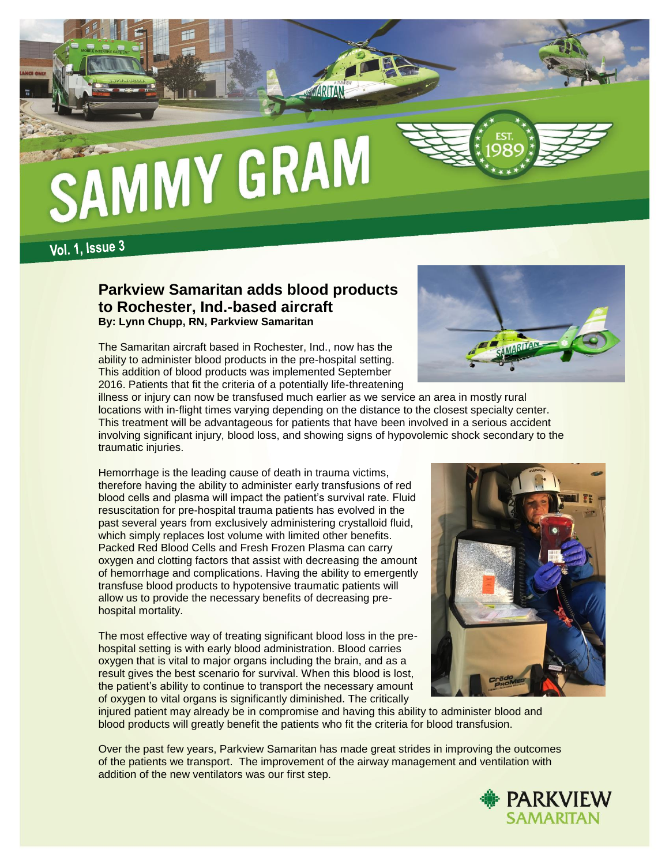

**Vol. 1, Issue 3** 

### **Parkview Samaritan adds blood products to Rochester, Ind.-based aircraft By: Lynn Chupp, RN, Parkview Samaritan**

The Samaritan aircraft based in Rochester, Ind., now has the ability to administer blood products in the pre-hospital setting. This addition of blood products was implemented September 2016. Patients that fit the criteria of a potentially life-threatening



illness or injury can now be transfused much earlier as we service an area in mostly rural locations with in-flight times varying depending on the distance to the closest specialty center. This treatment will be advantageous for patients that have been involved in a serious accident involving significant injury, blood loss, and showing signs of hypovolemic shock secondary to the traumatic injuries.

Hemorrhage is the leading cause of death in trauma victims, therefore having the ability to administer early transfusions of red blood cells and plasma will impact the patient's survival rate. Fluid resuscitation for pre-hospital trauma patients has evolved in the past several years from exclusively administering crystalloid fluid, which simply replaces lost volume with limited other benefits. Packed Red Blood Cells and Fresh Frozen Plasma can carry oxygen and clotting factors that assist with decreasing the amount of hemorrhage and complications. Having the ability to emergently transfuse blood products to hypotensive traumatic patients will allow us to provide the necessary benefits of decreasing prehospital mortality.

The most effective way of treating significant blood loss in the prehospital setting is with early blood administration. Blood carries oxygen that is vital to major organs including the brain, and as a result gives the best scenario for survival. When this blood is lost, the patient's ability to continue to transport the necessary amount of oxygen to vital organs is significantly diminished. The critically



injured patient may already be in compromise and having this ability to administer blood and blood products will greatly benefit the patients who fit the criteria for blood transfusion.

Over the past few years, Parkview Samaritan has made great strides in improving the outcomes of the patients we transport. The improvement of the airway management and ventilation with addition of the new ventilators was our first step.